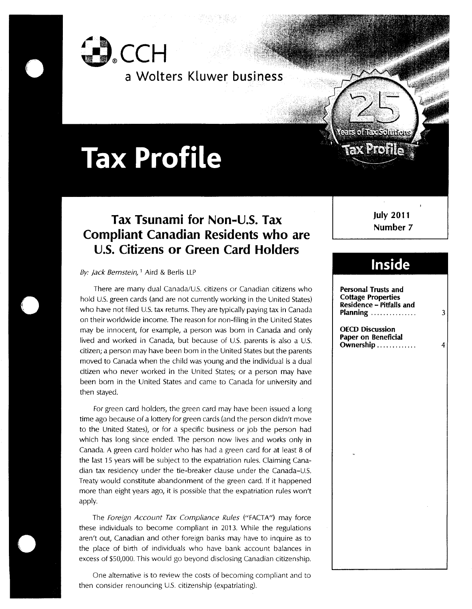

**a Wo[ters K[uwer business**

# **Tax Profile**

## **Tax Tsunami for Non-U.S. Tax Compliant Canadian Residents who are U.S. Citizens or Green Card Holders**

By: Jack Bernstein, <sup>1</sup> Aird & Berlis LLP

There are many dual Canada/U.S. citizens or Canadian citizens who hold U.S. green cards (and are not currently working in the United States) who have not filed U.S. tax returns. They are typically paying tax in Canada on their worldwide income. The reason for non-filing in the United States may be innocent, for example, a person was born in Canada and only lived and worked in Canada, but because of U.S. parents is also a U.S. citizen; a person may have been born in the United States but the parents moved to Canada when the child was young and the individual is a dual citizen who never worked in the United States; or a person may have been born in the United States and came to Canada for university and then stayed.

For green card holders, the green card may have been issued a long time ago because of a lottery for green cards (and the person didn't move to the United States), or for a specific business or job the person had which has long since ended. The person now lives and works only in Canada. A green card holder who has had a green card for at least 8 of the last 15 years will be subject to the expatriation rules. Claiming Canadian tax residency under the tie-breaker clause under the Canada-U.S. Treaty would constitute abandonment of the green card. If it happened more than eight years ago, it is possible that the expatriation rules won't apply.

The Foreign Account Tax Compliance Rules ("FACTA") may force these individuals to become compliant in 2013. While the regulations aren't out, Canadian and other foreign banks may have to inquire as to the place of birth of individuals who have bank account balances in excess of \$50,000. This would go beyond disclosing Canadian citizenship.

One alternative is to review the costs of becoming compliant and to then consider renouncing U.S. citizenship (expatriating).

**July 2011 Number 7**

**PACK PACK** 

# Inside

**Personal Trusts and Cottage Properties Residence - Pitfalls and Planning ...............** 3 **OECD Discussion Paper on Beneficial Ownership .............**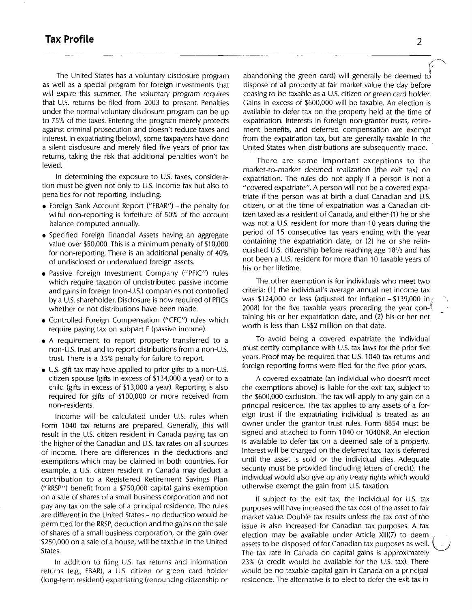The United States has a voluntary disclosure program as well as a special program for foreign investments that will expire this summer. The voluntary program requires that U.S. returns be filed from 2003 to present. Penalties under the normal voluntary disclosure program can be up to 75% of the taxes. Entering the program merely protects against criminal prosecution and doesn't reduce taxes and interest. In expatriating (below), some taxpayers have done a silent disclosure and merely filed five years of prior tax returns, taking the risk that additional penalties won't be levied.

In determining the exposure to U.S. taxes, consideration must be given not only to U.S. income tax but also to penalties for not reporting, including:

- Foreign Bank Account Report ("FBAR") the penalty for wilful non-reporting is forfeiture of 50% of the account balance computed annually.
- ¯ Specified Foreign Financial Assets having an aggregate value over \$50,000. This is a minimum penalty of \$10,000 for non-reporting. There is an additional penalty of 40% of undisclosed or undervalued foreign assets.
- ¯ Passive Foreign Investment Company ("PFIC") rules which require taxation of undistributed passive income and gains in foreign (non-U.S.) companies not controlled by a U.S. shareholder. Disclosure is now required of PFICs whether or not distributions have been made.
- ¯ Controlled Foreign Compensation ("CFC") rules which require paying tax on subpart F (passive income).
- A requirement to report property transferred to a non-U.S, trust and to report distributions from a non-U.S. trust. There is a 35% penalty for failure to report.
- U.S. gift tax may have applied to prior gifts to a non-U.S. citizen spouse (gifts in excess of \$134,000 a year) or to a child (gifts in excess of \$13,000 a year). Reporting is also required for gifts of \$100,000 or more received from non-residents.

Income will be calculated under U.S. rules when Form 1040 tax returns are prepared. Generally, this will result in the U.S. citizen resident in Canada paying tax on the higher of the Canadian and U.S. tax rates on all sources of income. There are differences in the deductions and exemptions which may be claimed in both countries. For example, a U.S. citizen resident in Canada may deduct a contribution to a Registered Retirement Savings Plan ("RRSP") benefit from a \$750,000 capital gains exemption on a sale of shares of a small business corporation and not pay any tax on the sale of a principal residence. The rules are different in the United States - no deduction would be permitted for the RRSP, deduction and the gains on the sale of shares of a small business corporation, or the gain over \$250,000 on a sale of a house, will be taxable in the United States.

In addition to filing U.S. tax returns and information returns (e.g., FBAR), a U.S. citizen or green card holder (long-term resident) expatriating (renouncing citizenship or abandoning the green card) will generally be deemed to dispose of all property at fair market value the day before ceasing to be taxable as a U.S. citizen or green card holder. Gains in excess of \$600,000 will be taxable. An election is available to defer tax on the property held at the time of expatriation. Interests in foreign non-grantor trusts, retirement benefits, and deferred compensation are exempt from the expatriation tax, but are generally taxable in the United States when distributions are subsequently made.

There are some important exceptions to the market-to-market deemed realization (the exit tax) on expatriation. The rules do not apply if a person is not a "covered expatriate". A person will not be a covered expatriate if the person was at birth a dual Canadian and U.S. citizen, or at the time of expatriation was a Canadian citizen taxed as a resident of Canada, and either (1) he or she was not a U.S. resident for more than 10 years during the period of 15 consecutive tax years ending with the year containing the expatriation date, or (2) he or she relinquished U.S. citizenship before reaching age 181/2 and has not been a U.S. resident for more than 10 taxable years of his or her lifetime.

The other exemption is for individuals who meet two criteria: (1) the individual's average annual net income tax was \$124,000 or less (adjusted for inflation - \$139,000 in, 2008) for the five taxable years preceding the year con- $\ell$ taining his or her expatriation date, and (2) his or her net worth is less than US\$2 million on that date.

To avoid being a covered expatriate the individual must certify compliance with U.S. tax laws for the prior five years. Proof may be required that U.S. 1040 tax returns and foreign reporting forms were filed for the five prior years.

A covered expatriate (an individual who doesn't meet the exemptions above) is liable for the exit tax, subject to the \$600,000 exclusion. The tax will apply to any gain on a principal residence. The tax applies to any assets of a foreign trust if the expatriating individual is treated as an owner under the grantor trust rules. Form 8854 must be signed and attached to Form 1040 or 1040NR. An election is available to defer tax on a deemed sale of a property. interest will be charged on the deferred tax. Tax is deferred until the asset is sold or the individual dies. Adequate security must be provided (including letters of credit). The individual would also give up any treaty rights which would otherwise exempt the gain from U.S. taxation.

If subject to the exit tax, the individual for U.S. tax purposes will have increased the tax cost of the asset to fair market value. Double tax results unless the tax cost of the issue is also increased for Canadian tax purposes. A tax election may be available under Article XIII(7) to deem assets to be disposed of for Canadian tax purposes as well. The tax rate in Canada on capital gains is approximately 23% (a credit would be available for the U.S. tax). There would be no taxable capital gain in Canada on a principal residence. The alternative is to elect to defer the exit tax in